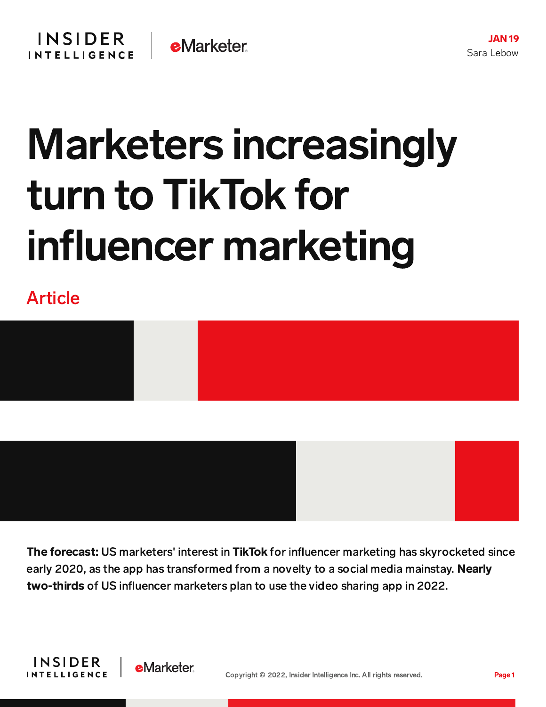## Marketers increasingly turn to TikTok for influencer marketing

Article





The forecast: US marketers' interest in TikTok for influencer marketing has skyrocketed since early 2020, as the app has transformed from a novelty to a social media mainstay. Nearly two-thirds of US influencer marketers plan to use the video sharing app in 2022.